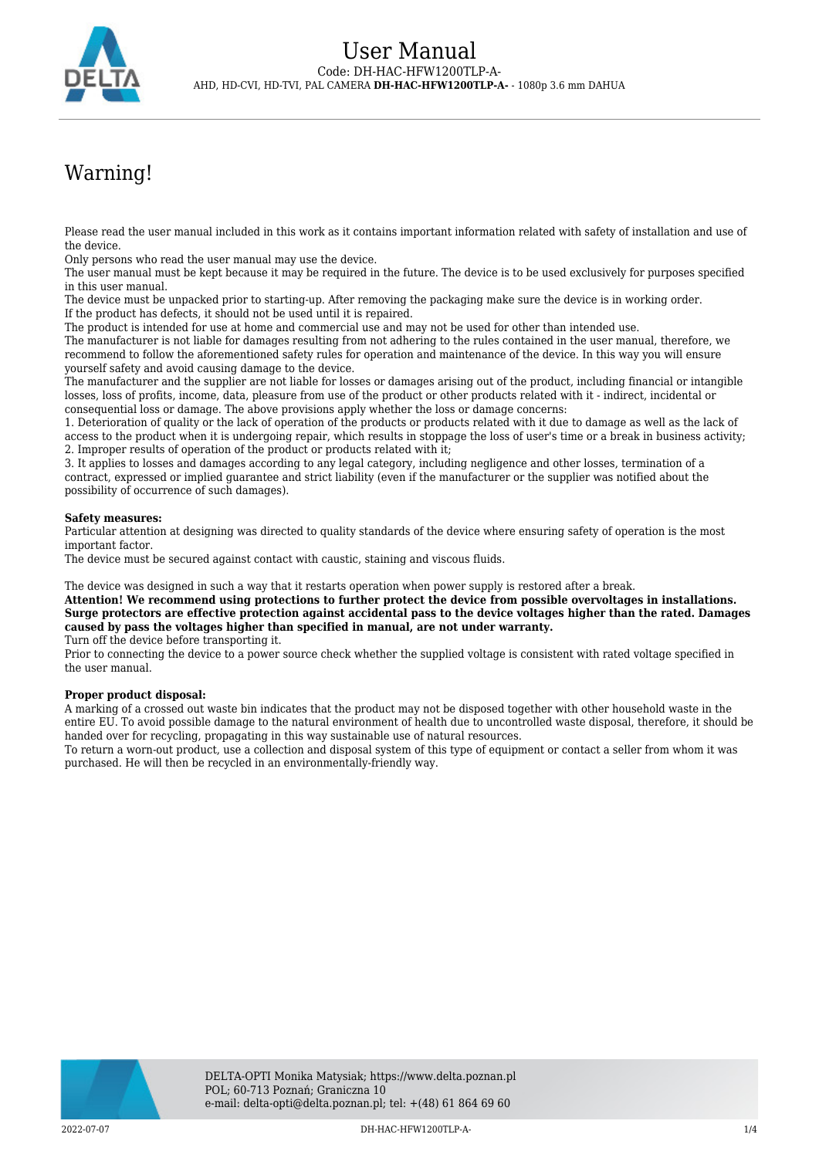

# Warning!

Please read the user manual included in this work as it contains important information related with safety of installation and use of the device.

Only persons who read the user manual may use the device.

The user manual must be kept because it may be required in the future. The device is to be used exclusively for purposes specified in this user manual.

The device must be unpacked prior to starting-up. After removing the packaging make sure the device is in working order. If the product has defects, it should not be used until it is repaired.

The product is intended for use at home and commercial use and may not be used for other than intended use.

The manufacturer is not liable for damages resulting from not adhering to the rules contained in the user manual, therefore, we recommend to follow the aforementioned safety rules for operation and maintenance of the device. In this way you will ensure yourself safety and avoid causing damage to the device.

The manufacturer and the supplier are not liable for losses or damages arising out of the product, including financial or intangible losses, loss of profits, income, data, pleasure from use of the product or other products related with it - indirect, incidental or consequential loss or damage. The above provisions apply whether the loss or damage concerns:

1. Deterioration of quality or the lack of operation of the products or products related with it due to damage as well as the lack of access to the product when it is undergoing repair, which results in stoppage the loss of user's time or a break in business activity; 2. Improper results of operation of the product or products related with it;

3. It applies to losses and damages according to any legal category, including negligence and other losses, termination of a contract, expressed or implied guarantee and strict liability (even if the manufacturer or the supplier was notified about the possibility of occurrence of such damages).

### **Safety measures:**

Particular attention at designing was directed to quality standards of the device where ensuring safety of operation is the most important factor.

The device must be secured against contact with caustic, staining and viscous fluids.

The device was designed in such a way that it restarts operation when power supply is restored after a break.

**Attention! We recommend using protections to further protect the device from possible overvoltages in installations. Surge protectors are effective protection against accidental pass to the device voltages higher than the rated. Damages caused by pass the voltages higher than specified in manual, are not under warranty.** Turn off the device before transporting it.

Prior to connecting the device to a power source check whether the supplied voltage is consistent with rated voltage specified in the user manual.

#### **Proper product disposal:**

A marking of a crossed out waste bin indicates that the product may not be disposed together with other household waste in the entire EU. To avoid possible damage to the natural environment of health due to uncontrolled waste disposal, therefore, it should be handed over for recycling, propagating in this way sustainable use of natural resources.

To return a worn-out product, use a collection and disposal system of this type of equipment or contact a seller from whom it was purchased. He will then be recycled in an environmentally-friendly way.

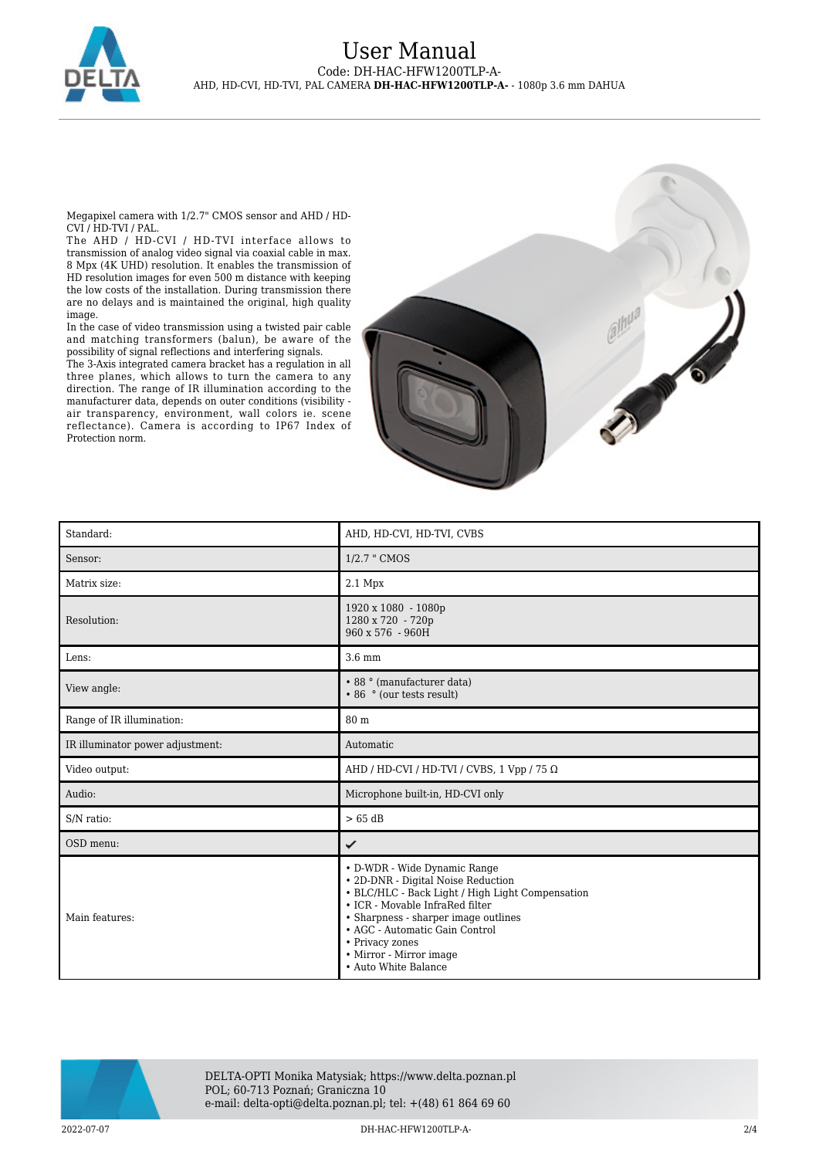

## User Manual Code: DH-HAC-HFW1200TLP-A-AHD, HD-CVI, HD-TVI, PAL CAMERA **DH-HAC-HFW1200TLP-A-** - 1080p 3.6 mm DAHUA

Megapixel camera with 1/2.7" CMOS sensor and AHD / HD-CVI / HD-TVI / PAL.

The AHD / HD-CVI / HD-TVI interface allows to transmission of analog video signal via coaxial cable in max. 8 Mpx (4K UHD) resolution. It enables the transmission of HD resolution images for even 500 m distance with keeping the low costs of the installation. During transmission there are no delays and is maintained the original, high quality image.

In the case of video transmission using a twisted pair cable and matching transformers (balun), be aware of the possibility of signal reflections and interfering signals.

The 3-Axis integrated camera bracket has a regulation in all three planes, which allows to turn the camera to any direction. The range of IR illumination according to the manufacturer data, depends on outer conditions (visibility air transparency, environment, wall colors ie. scene reflectance). Camera is according to IP67 Index of Protection norm.



| Standard:                        | AHD, HD-CVI, HD-TVI, CVBS                                                                                                                                                                                                                                                                                 |
|----------------------------------|-----------------------------------------------------------------------------------------------------------------------------------------------------------------------------------------------------------------------------------------------------------------------------------------------------------|
| Sensor:                          | 1/2.7 " CMOS                                                                                                                                                                                                                                                                                              |
| Matrix size:                     | $2.1$ Mpx                                                                                                                                                                                                                                                                                                 |
| Resolution:                      | 1920 x 1080 - 1080p<br>1280 x 720 - 720p<br>960 x 576 - 960H                                                                                                                                                                                                                                              |
| Lens:                            | $3.6 \text{ mm}$                                                                                                                                                                                                                                                                                          |
| View angle:                      | • 88 ° (manufacturer data)<br>• 86 ° (our tests result)                                                                                                                                                                                                                                                   |
| Range of IR illumination:        | 80 m                                                                                                                                                                                                                                                                                                      |
| IR illuminator power adjustment: | Automatic                                                                                                                                                                                                                                                                                                 |
| Video output:                    | AHD / HD-CVI / HD-TVI / CVBS, 1 Vpp / 75 $\Omega$                                                                                                                                                                                                                                                         |
| Audio:                           | Microphone built-in, HD-CVI only                                                                                                                                                                                                                                                                          |
| S/N ratio:                       | $>65$ dB                                                                                                                                                                                                                                                                                                  |
| OSD menu:                        | ✓                                                                                                                                                                                                                                                                                                         |
| Main features:                   | • D-WDR - Wide Dynamic Range<br>• 2D-DNR - Digital Noise Reduction<br>• BLC/HLC - Back Light / High Light Compensation<br>• ICR - Movable InfraRed filter<br>• Sharpness - sharper image outlines<br>• AGC - Automatic Gain Control<br>• Privacy zones<br>• Mirror - Mirror image<br>• Auto White Balance |



DELTA-OPTI Monika Matysiak; https://www.delta.poznan.pl POL; 60-713 Poznań; Graniczna 10 e-mail: delta-opti@delta.poznan.pl; tel: +(48) 61 864 69 60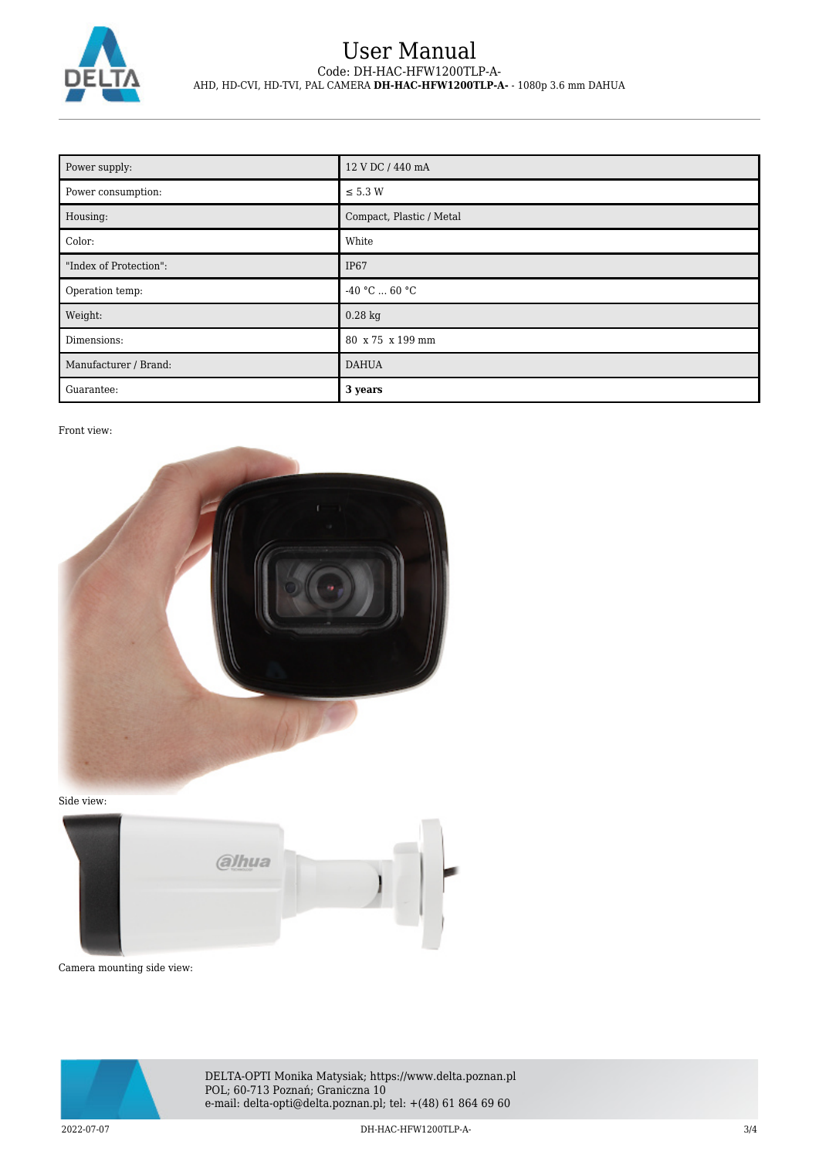

## User Manual Code: DH-HAC-HFW1200TLP-A-AHD, HD-CVI, HD-TVI, PAL CAMERA **DH-HAC-HFW1200TLP-A-** - 1080p 3.6 mm DAHUA

| Power supply:          | 12 V DC / 440 mA         |
|------------------------|--------------------------|
| Power consumption:     | $\leq$ 5.3 W             |
| Housing:               | Compact, Plastic / Metal |
| Color:                 | White                    |
| "Index of Protection": | IP <sub>67</sub>         |
| Operation temp:        | -40 °C $\ldots$ 60 °C    |
| Weight:                | $0.28$ kg                |
| Dimensions:            | 80 x 75 x 199 mm         |
| Manufacturer / Brand:  | <b>DAHUA</b>             |
| Guarantee:             | 3 years                  |

## Front view:



Side view:



Camera mounting side view:



DELTA-OPTI Monika Matysiak; https://www.delta.poznan.pl POL; 60-713 Poznań; Graniczna 10 e-mail: delta-opti@delta.poznan.pl; tel: +(48) 61 864 69 60